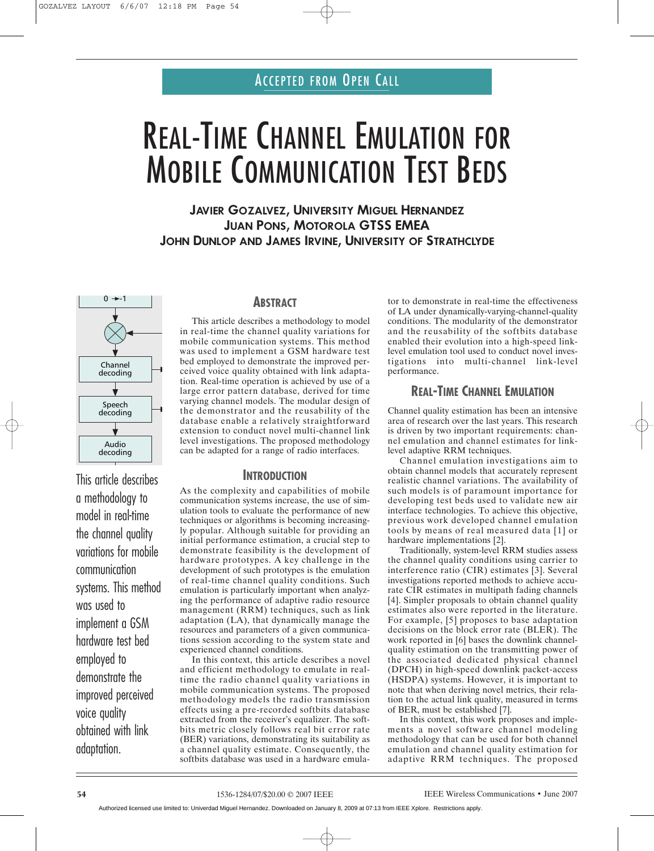# REAL-TIME CHANNEL EMULATION FOR MOBILE COMMUNICATION TEST BEDS

**JAVIER GOZALVEZ, UNIVERSITY MIGUEL HERNANDEZ JUAN PONS, MOTOROLA GTSS EMEA JOHN DUNLOP AND JAMES IRVINE, UNIVERSITY OF STRATHCLYDE**



This article describes a methodology to model in real-time the channel quality variations for mobile communication systems. This method was used to implement a GSM hardware test bed employed to demonstrate the improved perceived voice quality obtained with link adaptation.

# **ABSTRACT**

This article describes a methodology to model in real-time the channel quality variations for mobile communication systems. This method was used to implement a GSM hardware test bed employed to demonstrate the improved perceived voice quality obtained with link adaptation. Real-time operation is achieved by use of a large error pattern database, derived for time varying channel models. The modular design of the demonstrator and the reusability of the database enable a relatively straightforward extension to conduct novel multi-channel link level investigations. The proposed methodology can be adapted for a range of radio interfaces.

## **INTRODUCTION**

As the complexity and capabilities of mobile communication systems increase, the use of simulation tools to evaluate the performance of new techniques or algorithms is becoming increasingly popular. Although suitable for providing an initial performance estimation, a crucial step to demonstrate feasibility is the development of hardware prototypes. A key challenge in the development of such prototypes is the emulation of real-time channel quality conditions. Such emulation is particularly important when analyzing the performance of adaptive radio resource management (RRM) techniques, such as link adaptation (LA), that dynamically manage the resources and parameters of a given communications session according to the system state and experienced channel conditions.

In this context, this article describes a novel and efficient methodology to emulate in realtime the radio channel quality variations in mobile communication systems. The proposed methodology models the radio transmission effects using a pre-recorded softbits database extracted from the receiver's equalizer. The softbits metric closely follows real bit error rate (BER) variations, demonstrating its suitability as a channel quality estimate. Consequently, the softbits database was used in a hardware emulator to demonstrate in real-time the effectiveness of LA under dynamically-varying-channel-quality conditions. The modularity of the demonstrator and the reusability of the softbits database enabled their evolution into a high-speed linklevel emulation tool used to conduct novel investigations into multi-channel link-level performance.

# **REAL-TIME CHANNEL EMULATION**

Channel quality estimation has been an intensive area of research over the last years. This research is driven by two important requirements: channel emulation and channel estimates for linklevel adaptive RRM techniques.

Channel emulation investigations aim to obtain channel models that accurately represent realistic channel variations. The availability of such models is of paramount importance for developing test beds used to validate new air interface technologies. To achieve this objective, previous work developed channel emulation tools by means of real measured data [1] or hardware implementations [2].

Traditionally, system-level RRM studies assess the channel quality conditions using carrier to interference ratio (CIR) estimates [3]. Several investigations reported methods to achieve accurate CIR estimates in multipath fading channels [4]. Simpler proposals to obtain channel quality estimates also were reported in the literature. For example, [5] proposes to base adaptation decisions on the block error rate (BLER). The work reported in [6] bases the downlink channelquality estimation on the transmitting power of the associated dedicated physical channel (DPCH) in high-speed downlink packet-access (HSDPA) systems. However, it is important to note that when deriving novel metrics, their relation to the actual link quality, measured in terms of BER, must be established [7].

In this context, this work proposes and implements a novel software channel modeling methodology that can be used for both channel emulation and channel quality estimation for adaptive RRM techniques. The proposed

Authorized licensed use limited to: Univerdad Miguel Hernandez. Downloaded on January 8, 2009 at 07:13 from IEEE Xplore. Restrictions apply.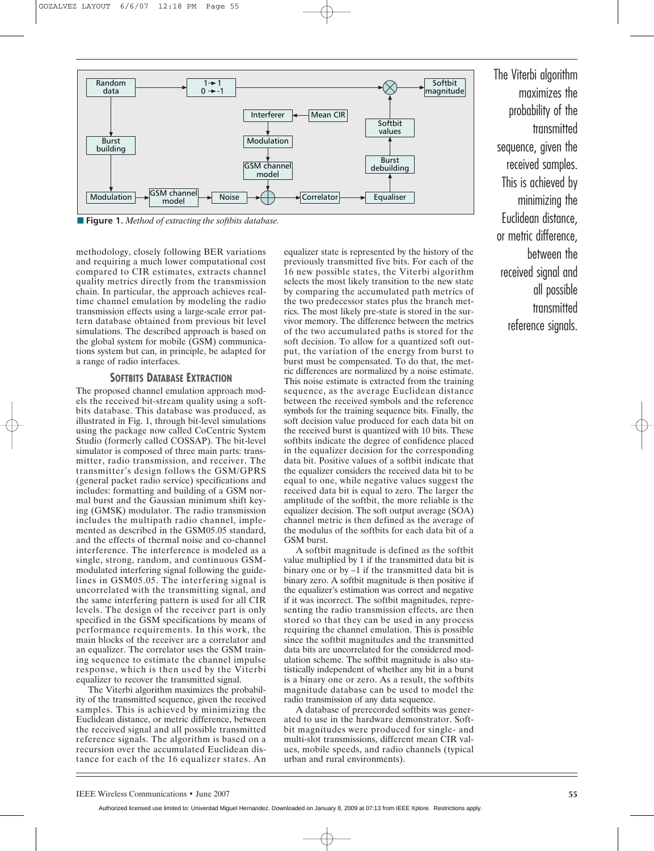

**■ Figure 1.** *Method of extracting the softbits database.*

methodology, closely following BER variations and requiring a much lower computational cost compared to CIR estimates, extracts channel quality metrics directly from the transmission chain. In particular, the approach achieves realtime channel emulation by modeling the radio transmission effects using a large-scale error pattern database obtained from previous bit level simulations. The described approach is based on the global system for mobile (GSM) communications system but can, in principle, be adapted for a range of radio interfaces.

## **SOFTBITS DATABASE EXTRACTION**

The proposed channel emulation approach models the received bit-stream quality using a softbits database. This database was produced, as illustrated in Fig. 1, through bit-level simulations using the package now called CoCentric System Studio (formerly called COSSAP). The bit-level simulator is composed of three main parts: transmitter, radio transmission, and receiver. The transmitter's design follows the GSM/GPRS (general packet radio service) specifications and includes: formatting and building of a GSM normal burst and the Gaussian minimum shift keying (GMSK) modulator. The radio transmission includes the multipath radio channel, implemented as described in the GSM05.05 standard, and the effects of thermal noise and co-channel interference. The interference is modeled as a single, strong, random, and continuous GSMmodulated interfering signal following the guidelines in GSM05.05. The interfering signal is uncorrelated with the transmitting signal, and the same interfering pattern is used for all CIR levels. The design of the receiver part is only specified in the GSM specifications by means of performance requirements. In this work, the main blocks of the receiver are a correlator and an equalizer. The correlator uses the GSM training sequence to estimate the channel impulse response, which is then used by the Viterbi equalizer to recover the transmitted signal.

The Viterbi algorithm maximizes the probability of the transmitted sequence, given the received samples. This is achieved by minimizing the Euclidean distance, or metric difference, between the received signal and all possible transmitted reference signals. The algorithm is based on a recursion over the accumulated Euclidean distance for each of the 16 equalizer states. An equalizer state is represented by the history of the previously transmitted five bits. For each of the 16 new possible states, the Viterbi algorithm selects the most likely transition to the new state by comparing the accumulated path metrics of the two predecessor states plus the branch metrics. The most likely pre-state is stored in the survivor memory. The difference between the metrics of the two accumulated paths is stored for the soft decision. To allow for a quantized soft output, the variation of the energy from burst to burst must be compensated. To do that, the metric differences are normalized by a noise estimate. This noise estimate is extracted from the training sequence, as the average Euclidean distance between the received symbols and the reference symbols for the training sequence bits. Finally, the soft decision value produced for each data bit on the received burst is quantized with 10 bits. These softbits indicate the degree of confidence placed in the equalizer decision for the corresponding data bit. Positive values of a softbit indicate that the equalizer considers the received data bit to be equal to one, while negative values suggest the received data bit is equal to zero. The larger the amplitude of the softbit, the more reliable is the equalizer decision. The soft output average (SOA) channel metric is then defined as the average of the modulus of the softbits for each data bit of a GSM burst.

A softbit magnitude is defined as the softbit value multiplied by 1 if the transmitted data bit is binary one or by –1 if the transmitted data bit is binary zero. A softbit magnitude is then positive if the equalizer's estimation was correct and negative if it was incorrect. The softbit magnitudes, representing the radio transmission effects, are then stored so that they can be used in any process requiring the channel emulation. This is possible since the softbit magnitudes and the transmitted data bits are uncorrelated for the considered modulation scheme. The softbit magnitude is also statistically independent of whether any bit in a burst is a binary one or zero. As a result, the softbits magnitude database can be used to model the radio transmission of any data sequence.

A database of prerecorded softbits was generated to use in the hardware demonstrator. Softbit magnitudes were produced for single- and multi-slot transmissions, different mean CIR values, mobile speeds, and radio channels (typical urban and rural environments).

The Viterbi algorithm maximizes the probability of the transmitted sequence, given the received samples. This is achieved by minimizing the Euclidean distance, or metric difference, between the received signal and all possible transmitted reference signals.

Authorized licensed use limited to: Univerdad Miguel Hernandez. Downloaded on January 8, 2009 at 07:13 from IEEE Xplore. Restrictions apply.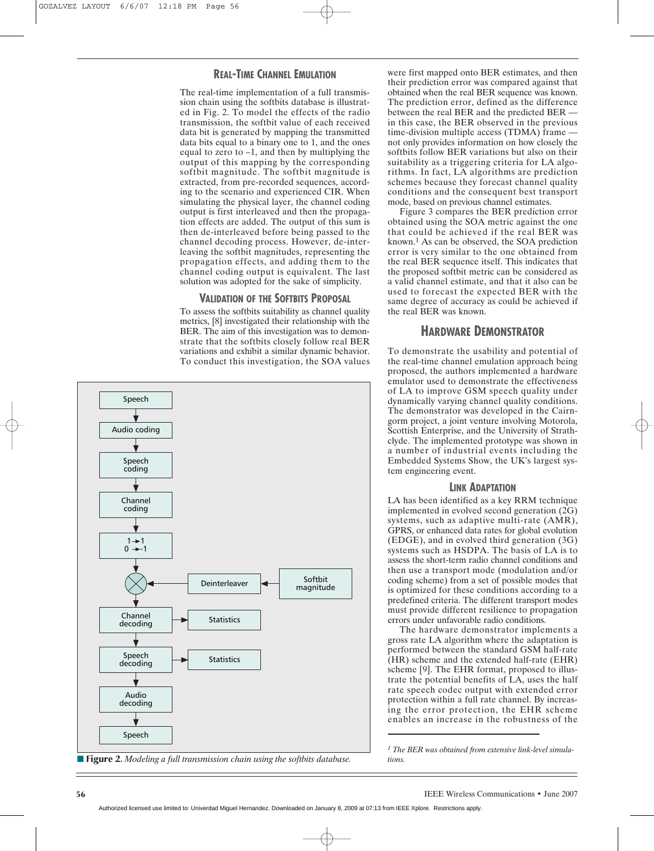## **REAL-TIME CHANNEL EMULATION**

The real-time implementation of a full transmission chain using the softbits database is illustrated in Fig. 2. To model the effects of the radio transmission, the softbit value of each received data bit is generated by mapping the transmitted data bits equal to a binary one to 1, and the ones equal to zero to –1, and then by multiplying the output of this mapping by the corresponding softbit magnitude. The softbit magnitude is extracted, from pre-recorded sequences, according to the scenario and experienced CIR. When simulating the physical layer, the channel coding output is first interleaved and then the propagation effects are added. The output of this sum is then de-interleaved before being passed to the channel decoding process. However, de-interleaving the softbit magnitudes, representing the propagation effects, and adding them to the channel coding output is equivalent. The last solution was adopted for the sake of simplicity.

## **VALIDATION OF THE SOFTBITS PROPOSAL**

To assess the softbits suitability as channel quality metrics, [8] investigated their relationship with the BER. The aim of this investigation was to demonstrate that the softbits closely follow real BER variations and exhibit a similar dynamic behavior. To conduct this investigation, the SOA values



■ **Figure 2.** *Modeling a full transmission chain using the softbits database.* 

were first mapped onto BER estimates, and then their prediction error was compared against that obtained when the real BER sequence was known. The prediction error, defined as the difference between the real BER and the predicted BER in this case, the BER observed in the previous time-division multiple access (TDMA) frame not only provides information on how closely the softbits follow BER variations but also on their suitability as a triggering criteria for LA algorithms. In fact, LA algorithms are prediction schemes because they forecast channel quality conditions and the consequent best transport mode, based on previous channel estimates.

Figure 3 compares the BER prediction error obtained using the SOA metric against the one that could be achieved if the real BER was known.1 As can be observed, the SOA prediction error is very similar to the one obtained from the real BER sequence itself. This indicates that the proposed softbit metric can be considered as a valid channel estimate, and that it also can be used to forecast the expected BER with the same degree of accuracy as could be achieved if the real BER was known.

# **HARDWARE DEMONSTRATOR**

To demonstrate the usability and potential of the real-time channel emulation approach being proposed, the authors implemented a hardware emulator used to demonstrate the effectiveness of LA to improve GSM speech quality under dynamically varying channel quality conditions. The demonstrator was developed in the Cairngorm project, a joint venture involving Motorola, Scottish Enterprise, and the University of Strathclyde. The implemented prototype was shown in a number of industrial events including the Embedded Systems Show, the UK's largest system engineering event.

## **LINK ADAPTATION**

LA has been identified as a key RRM technique implemented in evolved second generation (2G) systems, such as adaptive multi-rate (AMR), GPRS, or enhanced data rates for global evolution (EDGE), and in evolved third generation (3G) systems such as HSDPA. The basis of LA is to assess the short-term radio channel conditions and then use a transport mode (modulation and/or coding scheme) from a set of possible modes that is optimized for these conditions according to a predefined criteria. The different transport modes must provide different resilience to propagation errors under unfavorable radio conditions.

The hardware demonstrator implements a gross rate LA algorithm where the adaptation is performed between the standard GSM half-rate (HR) scheme and the extended half-rate (EHR) scheme [9]. The EHR format, proposed to illustrate the potential benefits of LA, uses the half rate speech codec output with extended error protection within a full rate channel. By increasing the error protection, the EHR scheme enables an increase in the robustness of the

*<sup>1</sup> The BER was obtained from extensive link-level simulations.*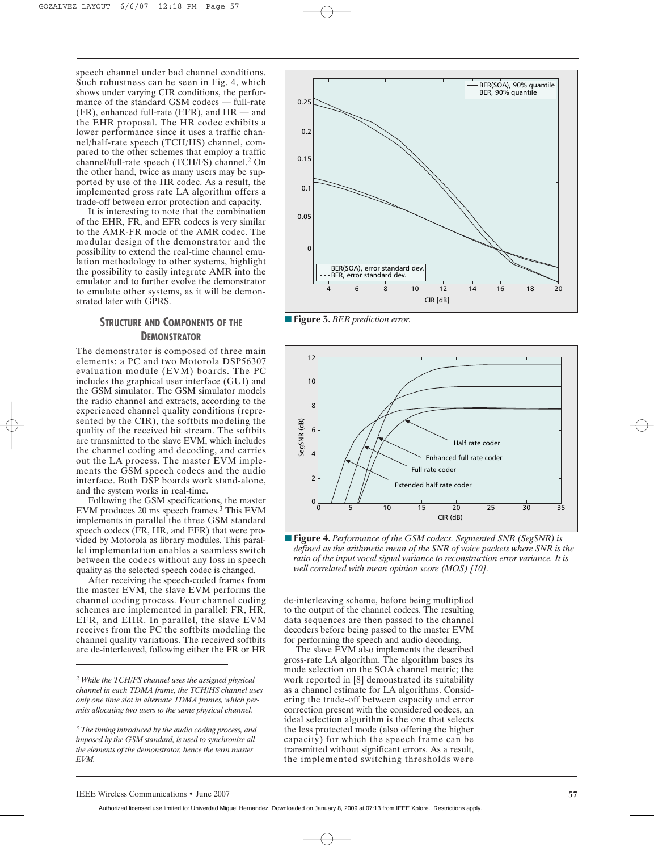speech channel under bad channel conditions. Such robustness can be seen in Fig. 4, which shows under varying CIR conditions, the performance of the standard GSM codecs — full-rate (FR), enhanced full-rate (EFR), and HR — and the EHR proposal. The HR codec exhibits a lower performance since it uses a traffic channel/half-rate speech (TCH/HS) channel, compared to the other schemes that employ a traffic channel/full-rate speech (TCH/FS) channel.2 On the other hand, twice as many users may be supported by use of the HR codec. As a result, the implemented gross rate LA algorithm offers a trade-off between error protection and capacity.

It is interesting to note that the combination of the EHR, FR, and EFR codecs is very similar to the AMR-FR mode of the AMR codec. The modular design of the demonstrator and the possibility to extend the real-time channel emulation methodology to other systems, highlight the possibility to easily integrate AMR into the emulator and to further evolve the demonstrator to emulate other systems, as it will be demonstrated later with GPRS.

# **STRUCTURE AND COMPONENTS OF THE DEMONSTRATOR**

The demonstrator is composed of three main elements: a PC and two Motorola DSP56307 evaluation module (EVM) boards. The PC includes the graphical user interface (GUI) and the GSM simulator. The GSM simulator models the radio channel and extracts, according to the experienced channel quality conditions (represented by the CIR), the softbits modeling the quality of the received bit stream. The softbits are transmitted to the slave EVM, which includes the channel coding and decoding, and carries out the LA process. The master EVM implements the GSM speech codecs and the audio interface. Both DSP boards work stand-alone, and the system works in real-time.

Following the GSM specifications, the master EVM produces 20 ms speech frames.3 This EVM implements in parallel the three GSM standard speech codecs (FR, HR, and EFR) that were provided by Motorola as library modules. This parallel implementation enables a seamless switch between the codecs without any loss in speech quality as the selected speech codec is changed.

After receiving the speech-coded frames from the master EVM, the slave EVM performs the channel coding process. Four channel coding schemes are implemented in parallel: FR, HR, EFR, and EHR. In parallel, the slave EVM receives from the PC the softbits modeling the channel quality variations. The received softbits are de-interleaved, following either the FR or HR



**■ Figure 3.** *BER prediction error.*



■ **Figure 4.** Performance of the GSM codecs. Segmented SNR (SegSNR) is *defined as the arithmetic mean of the SNR of voice packets where SNR is the ratio of the input vocal signal variance to reconstruction error variance. It is well correlated with mean opinion score (MOS) [10].*

de-interleaving scheme, before being multiplied to the output of the channel codecs. The resulting data sequences are then passed to the channel decoders before being passed to the master EVM for performing the speech and audio decoding.

The slave EVM also implements the described gross-rate LA algorithm. The algorithm bases its mode selection on the SOA channel metric; the work reported in [8] demonstrated its suitability as a channel estimate for LA algorithms. Considering the trade-off between capacity and error correction present with the considered codecs, an ideal selection algorithm is the one that selects the less protected mode (also offering the higher capacity) for which the speech frame can be transmitted without significant errors. As a result, the implemented switching thresholds were

*<sup>2</sup> While the TCH/FS channel uses the assigned physical channel in each TDMA frame, the TCH/HS channel uses only one time slot in alternate TDMA frames, which permits allocating two users to the same physical channel.*

*<sup>3</sup> The timing introduced by the audio coding process, and imposed by the GSM standard, is used to synchronize all the elements of the demonstrator, hence the term master EVM.*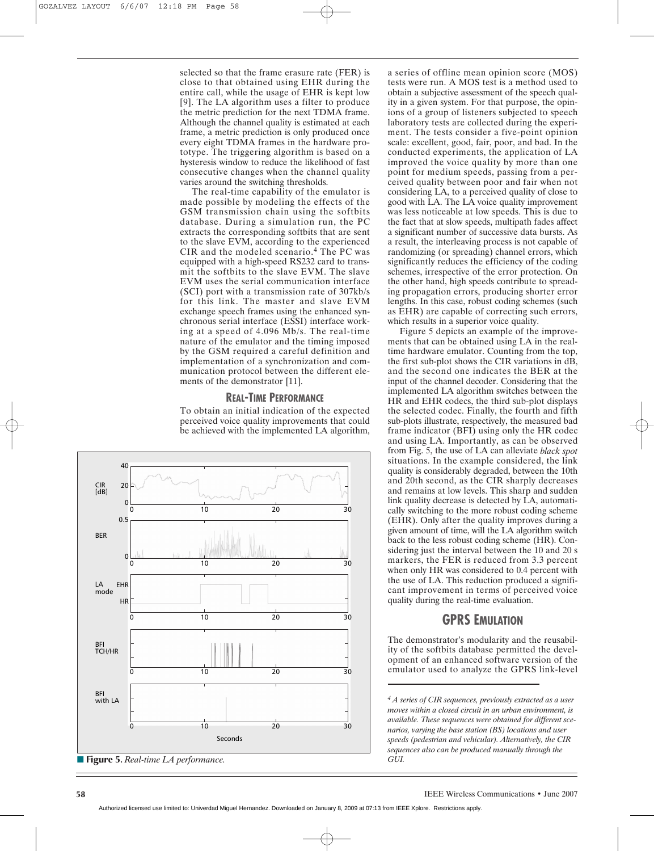selected so that the frame erasure rate (FER) is close to that obtained using EHR during the entire call, while the usage of EHR is kept low [9]. The LA algorithm uses a filter to produce the metric prediction for the next TDMA frame. Although the channel quality is estimated at each frame, a metric prediction is only produced once every eight TDMA frames in the hardware prototype. The triggering algorithm is based on a hysteresis window to reduce the likelihood of fast consecutive changes when the channel quality varies around the switching thresholds.

The real-time capability of the emulator is made possible by modeling the effects of the GSM transmission chain using the softbits database. During a simulation run, the PC extracts the corresponding softbits that are sent to the slave EVM, according to the experienced CIR and the modeled scenario.4 The PC was equipped with a high-speed RS232 card to transmit the softbits to the slave EVM. The slave EVM uses the serial communication interface (SCI) port with a transmission rate of 307kb/s for this link. The master and slave EVM exchange speech frames using the enhanced synchronous serial interface (ESSI) interface working at a speed of 4.096 Mb/s. The real-time nature of the emulator and the timing imposed by the GSM required a careful definition and implementation of a synchronization and communication protocol between the different elements of the demonstrator [11].

## **REAL-TIME PERFORMANCE**

To obtain an initial indication of the expected perceived voice quality improvements that could be achieved with the implemented LA algorithm,



**■ Figure 5.** *Real-time LA performance.*

a series of offline mean opinion score (MOS) tests were run. A MOS test is a method used to obtain a subjective assessment of the speech quality in a given system. For that purpose, the opinions of a group of listeners subjected to speech laboratory tests are collected during the experiment. The tests consider a five-point opinion scale: excellent, good, fair, poor, and bad. In the conducted experiments, the application of LA improved the voice quality by more than one point for medium speeds, passing from a perceived quality between poor and fair when not considering LA, to a perceived quality of close to good with LA. The LA voice quality improvement was less noticeable at low speeds. This is due to the fact that at slow speeds, multipath fades affect a significant number of successive data bursts. As a result, the interleaving process is not capable of randomizing (or spreading) channel errors, which significantly reduces the efficiency of the coding schemes, irrespective of the error protection. On the other hand, high speeds contribute to spreading propagation errors, producing shorter error lengths. In this case, robust coding schemes (such as EHR) are capable of correcting such errors, which results in a superior voice quality.

Figure 5 depicts an example of the improvements that can be obtained using LA in the realtime hardware emulator. Counting from the top, the first sub-plot shows the CIR variations in dB, and the second one indicates the BER at the input of the channel decoder. Considering that the implemented LA algorithm switches between the HR and EHR codecs, the third sub-plot displays the selected codec. Finally, the fourth and fifth sub-plots illustrate, respectively, the measured bad frame indicator (BFI) using only the HR codec and using LA. Importantly, as can be observed from Fig. 5, the use of LA can alleviate *black spot* situations. In the example considered, the link quality is considerably degraded, between the 10th and 20th second, as the CIR sharply decreases and remains at low levels. This sharp and sudden link quality decrease is detected by LA, automatically switching to the more robust coding scheme (EHR). Only after the quality improves during a given amount of time, will the LA algorithm switch back to the less robust coding scheme (HR). Considering just the interval between the 10 and 20 s markers, the FER is reduced from 3.3 percent when only HR was considered to 0.4 percent with the use of LA. This reduction produced a significant improvement in terms of perceived voice quality during the real-time evaluation.

# **GPRS EMULATION**

The demonstrator's modularity and the reusability of the softbits database permitted the development of an enhanced software version of the emulator used to analyze the GPRS link-level

*<sup>4</sup> A series of CIR sequences, previously extracted as a user moves within a closed circuit in an urban environment, is available. These sequences were obtained for different scenarios, varying the base station (BS) locations and user speeds (pedestrian and vehicular). Alternatively, the CIR sequences also can be produced manually through the GUI.*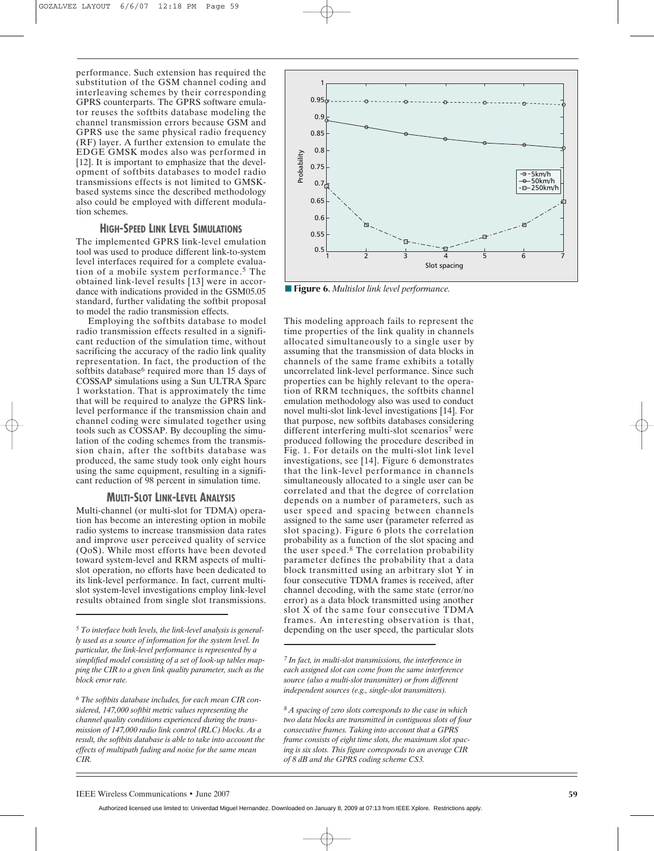performance. Such extension has required the substitution of the GSM channel coding and interleaving schemes by their corresponding GPRS counterparts. The GPRS software emulator reuses the softbits database modeling the channel transmission errors because GSM and GPRS use the same physical radio frequency (RF) layer. A further extension to emulate the EDGE GMSK modes also was performed in [12]. It is important to emphasize that the development of softbits databases to model radio transmissions effects is not limited to GMSKbased systems since the described methodology also could be employed with different modulation schemes.

## **HIGH-SPEED LINK LEVEL SIMULATIONS**

The implemented GPRS link-level emulation tool was used to produce different link-to-system level interfaces required for a complete evaluation of a mobile system performance.5 The obtained link-level results [13] were in accordance with indications provided in the GSM05.05 standard, further validating the softbit proposal to model the radio transmission effects.

Employing the softbits database to model radio transmission effects resulted in a significant reduction of the simulation time, without sacrificing the accuracy of the radio link quality representation. In fact, the production of the softbits database<sup>6</sup> required more than 15 days of COSSAP simulations using a Sun ULTRA Sparc 1 workstation. That is approximately the time that will be required to analyze the GPRS linklevel performance if the transmission chain and channel coding were simulated together using tools such as COSSAP. By decoupling the simulation of the coding schemes from the transmission chain, after the softbits database was produced, the same study took only eight hours using the same equipment, resulting in a significant reduction of 98 percent in simulation time.

## **MULTI-SLOT LINK-LEVEL ANALYSIS**

Multi-channel (or multi-slot for TDMA) operation has become an interesting option in mobile radio systems to increase transmission data rates and improve user perceived quality of service (QoS). While most efforts have been devoted toward system-level and RRM aspects of multislot operation, no efforts have been dedicated to its link-level performance. In fact, current multislot system-level investigations employ link-level results obtained from single slot transmissions.



**■ Figure 6.** *Multislot link level performance.*

This modeling approach fails to represent the time properties of the link quality in channels allocated simultaneously to a single user by assuming that the transmission of data blocks in channels of the same frame exhibits a totally uncorrelated link-level performance. Since such properties can be highly relevant to the operation of RRM techniques, the softbits channel emulation methodology also was used to conduct novel multi-slot link-level investigations [14]. For that purpose, new softbits databases considering different interfering multi-slot scenarios<sup>7</sup> were produced following the procedure described in Fig. 1. For details on the multi-slot link level investigations, see [14]. Figure 6 demonstrates that the link-level performance in channels simultaneously allocated to a single user can be correlated and that the degree of correlation depends on a number of parameters, such as user speed and spacing between channels assigned to the same user (parameter referred as slot spacing). Figure 6 plots the correlation probability as a function of the slot spacing and the user speed.8 The correlation probability parameter defines the probability that a data block transmitted using an arbitrary slot Y in four consecutive TDMA frames is received, after channel decoding, with the same state (error/no error) as a data block transmitted using another slot X of the same four consecutive TDMA frames. An interesting observation is that, depending on the user speed, the particular slots

*<sup>7</sup> In fact, in multi-slot transmissions, the interference in each assigned slot can come from the same interference source (also a multi-slot transmitter) or from different independent sources (e.g., single-slot transmitters).*

*<sup>8</sup> A spacing of zero slots corresponds to the case in which two data blocks are transmitted in contiguous slots of four consecutive frames. Taking into account that a GPRS frame consists of eight time slots, the maximum slot spacing is six slots. This figure corresponds to an average CIR of 8 dB and the GPRS coding scheme CS3.*

Authorized licensed use limited to: Univerdad Miguel Hernandez. Downloaded on January 8, 2009 at 07:13 from IEEE Xplore. Restrictions apply.

*<sup>5</sup> To interface both levels, the link-level analysis is generally used as a source of information for the system level. In particular, the link-level performance is represented by a simplified model consisting of a set of look-up tables mapping the CIR to a given link quality parameter, such as the block error rate.*

*<sup>6</sup> The softbits database includes, for each mean CIR considered, 147,000 softbit metric values representing the channel quality conditions experienced during the transmission of 147,000 radio link control (RLC) blocks. As a result, the softbits database is able to take into account the effects of multipath fading and noise for the same mean CIR.*